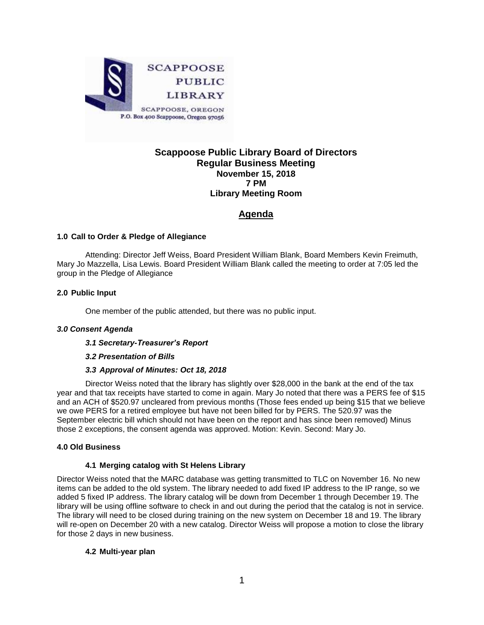

# **Scappoose Public Library Board of Directors Regular Business Meeting November 15, 2018 7 PM Library Meeting Room**

# **Agenda**

# **1.0 Call to Order & Pledge of Allegiance**

Attending: Director Jeff Weiss, Board President William Blank, Board Members Kevin Freimuth, Mary Jo Mazzella, Lisa Lewis. Board President William Blank called the meeting to order at 7:05 led the group in the Pledge of Allegiance

# **2.0 Public Input**

One member of the public attended, but there was no public input.

# *3.0 Consent Agenda*

#### *3.1 Secretary-Treasurer's Report*

# *3.2 Presentation of Bills*

# *3.3 Approval of Minutes: Oct 18, 2018*

Director Weiss noted that the library has slightly over \$28,000 in the bank at the end of the tax year and that tax receipts have started to come in again. Mary Jo noted that there was a PERS fee of \$15 and an ACH of \$520.97 uncleared from previous months (Those fees ended up being \$15 that we believe we owe PERS for a retired employee but have not been billed for by PERS. The 520.97 was the September electric bill which should not have been on the report and has since been removed) Minus those 2 exceptions, the consent agenda was approved. Motion: Kevin. Second: Mary Jo.

#### **4.0 Old Business**

# **4.1 Merging catalog with St Helens Library**

Director Weiss noted that the MARC database was getting transmitted to TLC on November 16. No new items can be added to the old system. The library needed to add fixed IP address to the IP range, so we added 5 fixed IP address. The library catalog will be down from December 1 through December 19. The library will be using offline software to check in and out during the period that the catalog is not in service. The library will need to be closed during training on the new system on December 18 and 19. The library will re-open on December 20 with a new catalog. Director Weiss will propose a motion to close the library for those 2 days in new business.

#### **4.2 Multi-year plan**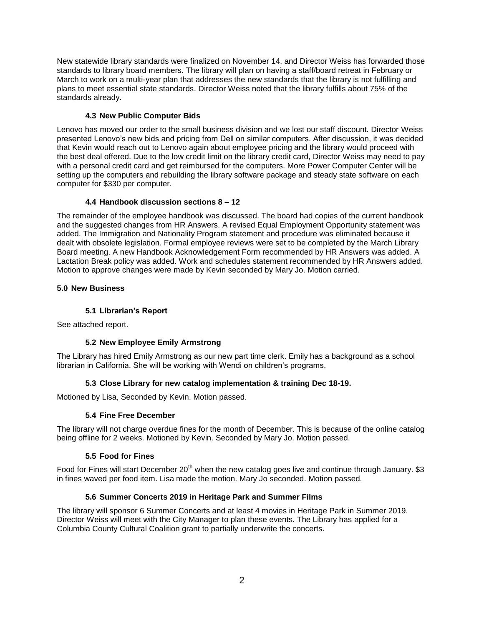New statewide library standards were finalized on November 14, and Director Weiss has forwarded those standards to library board members. The library will plan on having a staff/board retreat in February or March to work on a multi-year plan that addresses the new standards that the library is not fulfilling and plans to meet essential state standards. Director Weiss noted that the library fulfills about 75% of the standards already.

# **4.3 New Public Computer Bids**

Lenovo has moved our order to the small business division and we lost our staff discount. Director Weiss presented Lenovo's new bids and pricing from Dell on similar computers. After discussion, it was decided that Kevin would reach out to Lenovo again about employee pricing and the library would proceed with the best deal offered. Due to the low credit limit on the library credit card, Director Weiss may need to pay with a personal credit card and get reimbursed for the computers. More Power Computer Center will be setting up the computers and rebuilding the library software package and steady state software on each computer for \$330 per computer.

# **4.4 Handbook discussion sections 8 – 12**

The remainder of the employee handbook was discussed. The board had copies of the current handbook and the suggested changes from HR Answers. A revised Equal Employment Opportunity statement was added. The Immigration and Nationality Program statement and procedure was eliminated because it dealt with obsolete legislation. Formal employee reviews were set to be completed by the March Library Board meeting. A new Handbook Acknowledgement Form recommended by HR Answers was added. A Lactation Break policy was added. Work and schedules statement recommended by HR Answers added. Motion to approve changes were made by Kevin seconded by Mary Jo. Motion carried.

# **5.0 New Business**

# **5.1 Librarian's Report**

See attached report.

# **5.2 New Employee Emily Armstrong**

The Library has hired Emily Armstrong as our new part time clerk. Emily has a background as a school librarian in California. She will be working with Wendi on children's programs.

# **5.3 Close Library for new catalog implementation & training Dec 18-19.**

Motioned by Lisa, Seconded by Kevin. Motion passed.

# **5.4 Fine Free December**

The library will not charge overdue fines for the month of December. This is because of the online catalog being offline for 2 weeks. Motioned by Kevin. Seconded by Mary Jo. Motion passed.

# **5.5 Food for Fines**

Food for Fines will start December 20<sup>th</sup> when the new catalog goes live and continue through January. \$3 in fines waved per food item. Lisa made the motion. Mary Jo seconded. Motion passed.

# **5.6 Summer Concerts 2019 in Heritage Park and Summer Films**

The library will sponsor 6 Summer Concerts and at least 4 movies in Heritage Park in Summer 2019. Director Weiss will meet with the City Manager to plan these events. The Library has applied for a Columbia County Cultural Coalition grant to partially underwrite the concerts.